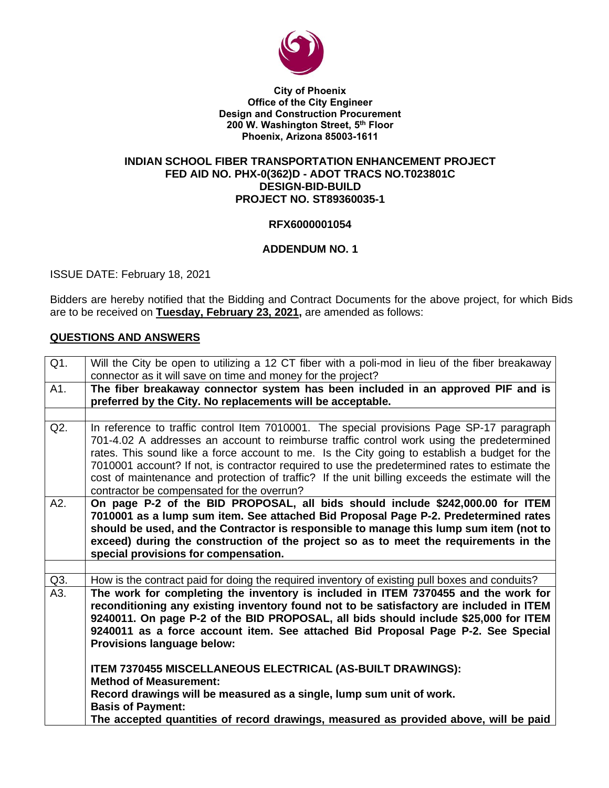

**City of Phoenix Office of the City Engineer Design and Construction Procurement 200 W. Washington Street, 5 th Floor Phoenix, Arizona 85003-1611**

### **INDIAN SCHOOL FIBER TRANSPORTATION ENHANCEMENT PROJECT FED AID NO. PHX-0(362)D - ADOT TRACS NO.T023801C DESIGN-BID-BUILD PROJECT NO. ST89360035-1**

### **RFX6000001054**

### **ADDENDUM NO. 1**

ISSUE DATE: February 18, 2021

Bidders are hereby notified that the Bidding and Contract Documents for the above project, for which Bids are to be received on **Tuesday, February 23, 2021,** are amended as follows:

### **QUESTIONS AND ANSWERS**

| Q1. | Will the City be open to utilizing a 12 CT fiber with a poli-mod in lieu of the fiber breakaway                                                                                                                                                                                                                                                                                                                                                                                                                                             |  |  |  |  |  |  |
|-----|---------------------------------------------------------------------------------------------------------------------------------------------------------------------------------------------------------------------------------------------------------------------------------------------------------------------------------------------------------------------------------------------------------------------------------------------------------------------------------------------------------------------------------------------|--|--|--|--|--|--|
|     | connector as it will save on time and money for the project?                                                                                                                                                                                                                                                                                                                                                                                                                                                                                |  |  |  |  |  |  |
| A1. | The fiber breakaway connector system has been included in an approved PIF and is<br>preferred by the City. No replacements will be acceptable.                                                                                                                                                                                                                                                                                                                                                                                              |  |  |  |  |  |  |
|     |                                                                                                                                                                                                                                                                                                                                                                                                                                                                                                                                             |  |  |  |  |  |  |
| Q2. | In reference to traffic control Item 7010001. The special provisions Page SP-17 paragraph<br>701-4.02 A addresses an account to reimburse traffic control work using the predetermined<br>rates. This sound like a force account to me. Is the City going to establish a budget for the<br>7010001 account? If not, is contractor required to use the predetermined rates to estimate the<br>cost of maintenance and protection of traffic? If the unit billing exceeds the estimate will the<br>contractor be compensated for the overrun? |  |  |  |  |  |  |
| A2. | On page P-2 of the BID PROPOSAL, all bids should include \$242,000.00 for ITEM<br>7010001 as a lump sum item. See attached Bid Proposal Page P-2. Predetermined rates<br>should be used, and the Contractor is responsible to manage this lump sum item (not to<br>exceed) during the construction of the project so as to meet the requirements in the<br>special provisions for compensation.                                                                                                                                             |  |  |  |  |  |  |
|     |                                                                                                                                                                                                                                                                                                                                                                                                                                                                                                                                             |  |  |  |  |  |  |
| Q3. | How is the contract paid for doing the required inventory of existing pull boxes and conduits?                                                                                                                                                                                                                                                                                                                                                                                                                                              |  |  |  |  |  |  |
| A3. | The work for completing the inventory is included in ITEM 7370455 and the work for<br>reconditioning any existing inventory found not to be satisfactory are included in ITEM<br>9240011. On page P-2 of the BID PROPOSAL, all bids should include \$25,000 for ITEM<br>9240011 as a force account item. See attached Bid Proposal Page P-2. See Special<br><b>Provisions language below:</b>                                                                                                                                               |  |  |  |  |  |  |
|     | ITEM 7370455 MISCELLANEOUS ELECTRICAL (AS-BUILT DRAWINGS):<br><b>Method of Measurement:</b>                                                                                                                                                                                                                                                                                                                                                                                                                                                 |  |  |  |  |  |  |
|     | Record drawings will be measured as a single, lump sum unit of work.<br><b>Basis of Payment:</b>                                                                                                                                                                                                                                                                                                                                                                                                                                            |  |  |  |  |  |  |
|     | The accepted quantities of record drawings, measured as provided above, will be paid                                                                                                                                                                                                                                                                                                                                                                                                                                                        |  |  |  |  |  |  |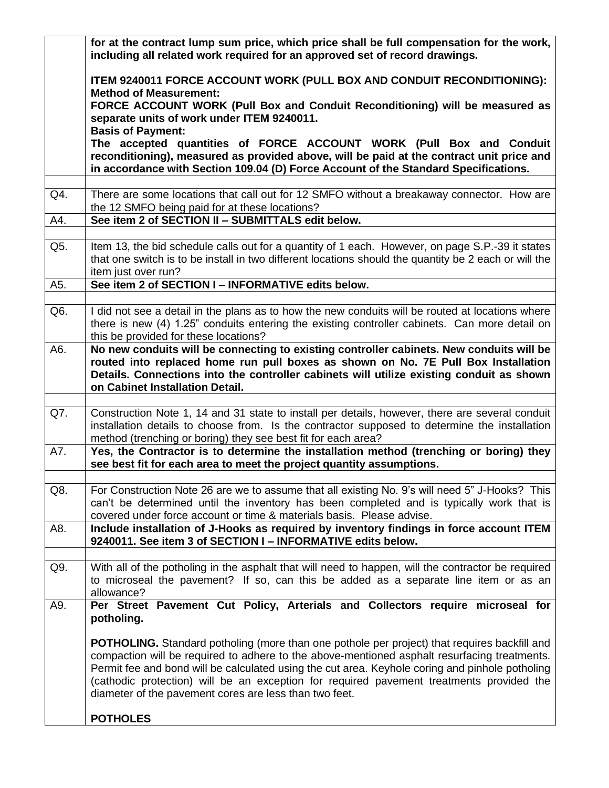|     | for at the contract lump sum price, which price shall be full compensation for the work,<br>including all related work required for an approved set of record drawings.                                                                                                                                                                                                                                                                                      |  |  |  |  |  |  |  |  |
|-----|--------------------------------------------------------------------------------------------------------------------------------------------------------------------------------------------------------------------------------------------------------------------------------------------------------------------------------------------------------------------------------------------------------------------------------------------------------------|--|--|--|--|--|--|--|--|
|     | ITEM 9240011 FORCE ACCOUNT WORK (PULL BOX AND CONDUIT RECONDITIONING):<br><b>Method of Measurement:</b>                                                                                                                                                                                                                                                                                                                                                      |  |  |  |  |  |  |  |  |
|     | FORCE ACCOUNT WORK (Pull Box and Conduit Reconditioning) will be measured as<br>separate units of work under ITEM 9240011.                                                                                                                                                                                                                                                                                                                                   |  |  |  |  |  |  |  |  |
|     | <b>Basis of Payment:</b><br>The accepted quantities of FORCE ACCOUNT WORK (Pull Box and Conduit<br>reconditioning), measured as provided above, will be paid at the contract unit price and                                                                                                                                                                                                                                                                  |  |  |  |  |  |  |  |  |
|     | in accordance with Section 109.04 (D) Force Account of the Standard Specifications.                                                                                                                                                                                                                                                                                                                                                                          |  |  |  |  |  |  |  |  |
| Q4. | There are some locations that call out for 12 SMFO without a breakaway connector. How are<br>the 12 SMFO being paid for at these locations?                                                                                                                                                                                                                                                                                                                  |  |  |  |  |  |  |  |  |
| A4. | See item 2 of SECTION II - SUBMITTALS edit below.                                                                                                                                                                                                                                                                                                                                                                                                            |  |  |  |  |  |  |  |  |
| Q5. | Item 13, the bid schedule calls out for a quantity of 1 each. However, on page S.P.-39 it states<br>that one switch is to be install in two different locations should the quantity be 2 each or will the<br>item just over run?                                                                                                                                                                                                                             |  |  |  |  |  |  |  |  |
| A5. | See item 2 of SECTION I - INFORMATIVE edits below.                                                                                                                                                                                                                                                                                                                                                                                                           |  |  |  |  |  |  |  |  |
| Q6. | I did not see a detail in the plans as to how the new conduits will be routed at locations where<br>there is new (4) 1.25" conduits entering the existing controller cabinets. Can more detail on<br>this be provided for these locations?                                                                                                                                                                                                                   |  |  |  |  |  |  |  |  |
| A6. | No new conduits will be connecting to existing controller cabinets. New conduits will be<br>routed into replaced home run pull boxes as shown on No. 7E Pull Box Installation<br>Details. Connections into the controller cabinets will utilize existing conduit as shown<br>on Cabinet Installation Detail.                                                                                                                                                 |  |  |  |  |  |  |  |  |
| Q7. | Construction Note 1, 14 and 31 state to install per details, however, there are several conduit<br>installation details to choose from. Is the contractor supposed to determine the installation<br>method (trenching or boring) they see best fit for each area?                                                                                                                                                                                            |  |  |  |  |  |  |  |  |
| A7. | Yes, the Contractor is to determine the installation method (trenching or boring) they<br>see best fit for each area to meet the project quantity assumptions.                                                                                                                                                                                                                                                                                               |  |  |  |  |  |  |  |  |
| Q8. | For Construction Note 26 are we to assume that all existing No. 9's will need 5" J-Hooks? This<br>can't be determined until the inventory has been completed and is typically work that is<br>covered under force account or time & materials basis. Please advise.                                                                                                                                                                                          |  |  |  |  |  |  |  |  |
| A8. | Include installation of J-Hooks as required by inventory findings in force account ITEM<br>9240011. See item 3 of SECTION I - INFORMATIVE edits below.                                                                                                                                                                                                                                                                                                       |  |  |  |  |  |  |  |  |
| Q9. | With all of the potholing in the asphalt that will need to happen, will the contractor be required<br>to microseal the pavement? If so, can this be added as a separate line item or as an<br>allowance?                                                                                                                                                                                                                                                     |  |  |  |  |  |  |  |  |
| A9. | Per Street Pavement Cut Policy, Arterials and Collectors require microseal for<br>potholing.                                                                                                                                                                                                                                                                                                                                                                 |  |  |  |  |  |  |  |  |
|     | <b>POTHOLING.</b> Standard potholing (more than one pothole per project) that requires backfill and<br>compaction will be required to adhere to the above-mentioned asphalt resurfacing treatments.<br>Permit fee and bond will be calculated using the cut area. Keyhole coring and pinhole potholing<br>(cathodic protection) will be an exception for required pavement treatments provided the<br>diameter of the pavement cores are less than two feet. |  |  |  |  |  |  |  |  |
|     | <b>POTHOLES</b>                                                                                                                                                                                                                                                                                                                                                                                                                                              |  |  |  |  |  |  |  |  |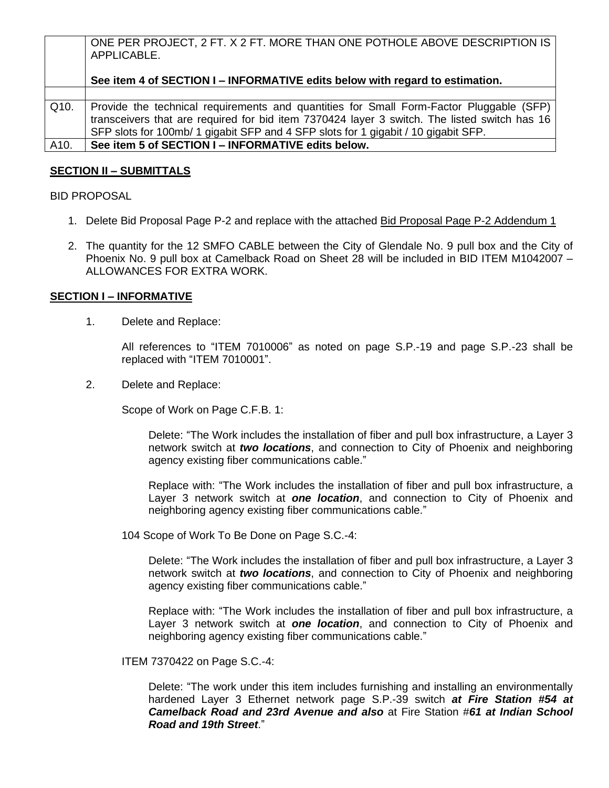|      | ONE PER PROJECT, 2 FT. X 2 FT. MORE THAN ONE POTHOLE ABOVE DESCRIPTION IS<br>APPLICABLE.                                                                                                                                                                                      |
|------|-------------------------------------------------------------------------------------------------------------------------------------------------------------------------------------------------------------------------------------------------------------------------------|
|      | See item 4 of SECTION I – INFORMATIVE edits below with regard to estimation.                                                                                                                                                                                                  |
|      |                                                                                                                                                                                                                                                                               |
| Q10. | Provide the technical requirements and quantities for Small Form-Factor Pluggable (SFP)<br>transceivers that are required for bid item 7370424 layer 3 switch. The listed switch has 16<br>SFP slots for 100mb/ 1 gigabit SFP and 4 SFP slots for 1 gigabit / 10 gigabit SFP. |
| A10. | See item 5 of SECTION I - INFORMATIVE edits below.                                                                                                                                                                                                                            |

## **SECTION II – SUBMITTALS**

BID PROPOSAL

- 1. Delete Bid Proposal Page P-2 and replace with the attached Bid Proposal Page P-2 Addendum 1
- 2. The quantity for the 12 SMFO CABLE between the City of Glendale No. 9 pull box and the City of Phoenix No. 9 pull box at Camelback Road on Sheet 28 will be included in BID ITEM M1042007 – ALLOWANCES FOR EXTRA WORK.

### **SECTION I – INFORMATIVE**

1. Delete and Replace:

All references to "ITEM 7010006" as noted on page S.P.-19 and page S.P.-23 shall be replaced with "ITEM 7010001".

2. Delete and Replace:

Scope of Work on Page C.F.B. 1:

Delete: "The Work includes the installation of fiber and pull box infrastructure, a Layer 3 network switch at *two locations*, and connection to City of Phoenix and neighboring agency existing fiber communications cable."

Replace with: "The Work includes the installation of fiber and pull box infrastructure, a Layer 3 network switch at *one location*, and connection to City of Phoenix and neighboring agency existing fiber communications cable."

104 Scope of Work To Be Done on Page S.C.-4:

Delete: "The Work includes the installation of fiber and pull box infrastructure, a Layer 3 network switch at *two locations*, and connection to City of Phoenix and neighboring agency existing fiber communications cable."

Replace with: "The Work includes the installation of fiber and pull box infrastructure, a Layer 3 network switch at *one location*, and connection to City of Phoenix and neighboring agency existing fiber communications cable."

ITEM 7370422 on Page S.C.-4:

Delete: "The work under this item includes furnishing and installing an environmentally hardened Layer 3 Ethernet network page S.P.-39 switch *at Fire Station #54 at Camelback Road and 23rd Avenue and also* at Fire Station #*61 at Indian School Road and 19th Street*."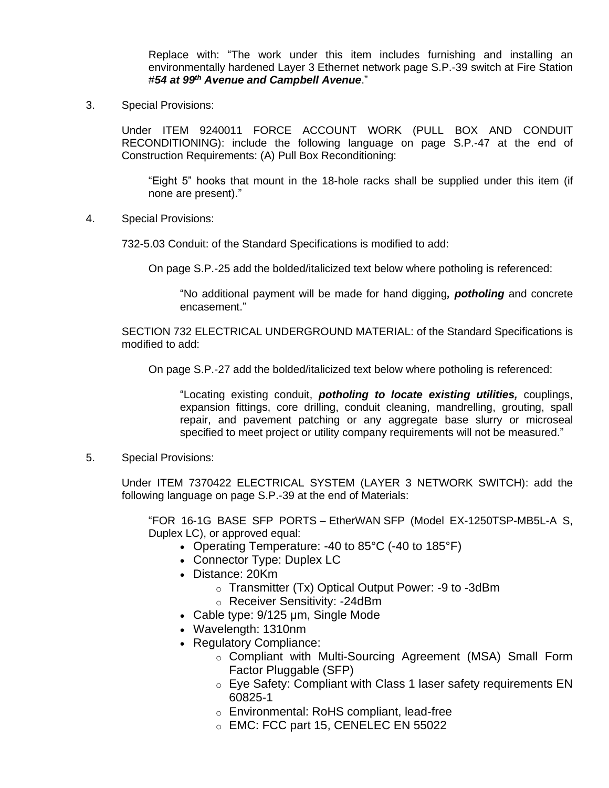Replace with: "The work under this item includes furnishing and installing an environmentally hardened Layer 3 Ethernet network page S.P.-39 switch at Fire Station #*54 at 99th Avenue and Campbell Avenue*."

3. Special Provisions:

Under ITEM 9240011 FORCE ACCOUNT WORK (PULL BOX AND CONDUIT RECONDITIONING): include the following language on page S.P.-47 at the end of Construction Requirements: (A) Pull Box Reconditioning:

"Eight 5" hooks that mount in the 18-hole racks shall be supplied under this item (if none are present)."

4. Special Provisions:

732-5.03 Conduit: of the Standard Specifications is modified to add:

On page S.P.-25 add the bolded/italicized text below where potholing is referenced:

"No additional payment will be made for hand digging*, potholing* and concrete encasement."

SECTION 732 ELECTRICAL UNDERGROUND MATERIAL: of the Standard Specifications is modified to add:

On page S.P.-27 add the bolded/italicized text below where potholing is referenced:

"Locating existing conduit, *potholing to locate existing utilities,* couplings, expansion fittings, core drilling, conduit cleaning, mandrelling, grouting, spall repair, and pavement patching or any aggregate base slurry or microseal specified to meet project or utility company requirements will not be measured."

5. Special Provisions:

Under ITEM 7370422 ELECTRICAL SYSTEM (LAYER 3 NETWORK SWITCH): add the following language on page S.P.-39 at the end of Materials:

"FOR 16-1G BASE SFP PORTS – EtherWAN SFP (Model EX-1250TSP-MB5L-A S, Duplex LC), or approved equal:

- Operating Temperature: -40 to 85°C (-40 to 185°F)
- Connector Type: Duplex LC
- Distance: 20Km
	- o Transmitter (Tx) Optical Output Power: -9 to -3dBm
		- o Receiver Sensitivity: -24dBm
- Cable type: 9/125 μm, Single Mode
- Wavelength: 1310nm
- Regulatory Compliance:
	- o Compliant with Multi-Sourcing Agreement (MSA) Small Form Factor Pluggable (SFP)
	- o Eye Safety: Compliant with Class 1 laser safety requirements EN 60825-1
	- o Environmental: RoHS compliant, lead-free
	- o EMC: FCC part 15, CENELEC EN 55022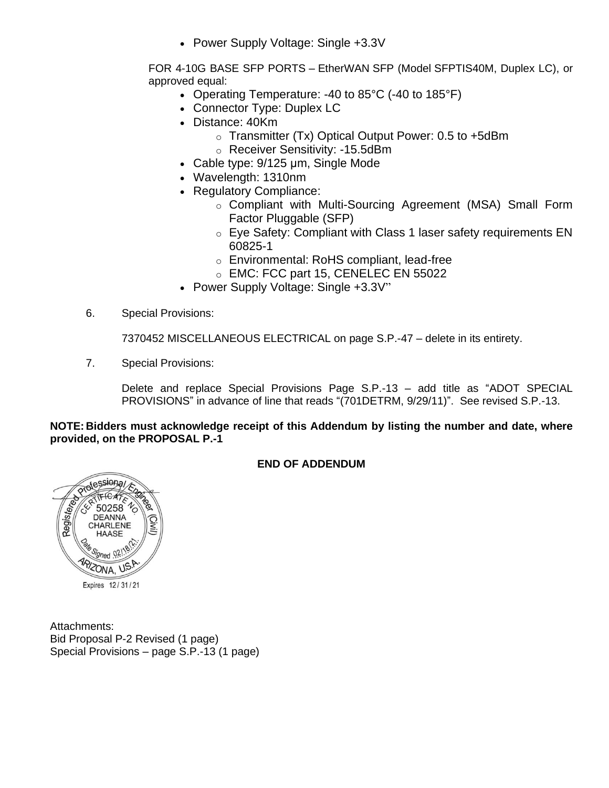• Power Supply Voltage: Single +3.3V

FOR 4-10G BASE SFP PORTS – EtherWAN SFP (Model SFPTIS40M, Duplex LC), or approved equal:

- Operating Temperature: -40 to 85°C (-40 to 185°F)
- Connector Type: Duplex LC
- Distance: 40Km
	- $\circ$  Transmitter (Tx) Optical Output Power: 0.5 to +5dBm
	- o Receiver Sensitivity: -15.5dBm
- Cable type: 9/125 μm, Single Mode
- Wavelength: 1310nm
- Regulatory Compliance:
	- o Compliant with Multi-Sourcing Agreement (MSA) Small Form Factor Pluggable (SFP)
	- o Eye Safety: Compliant with Class 1 laser safety requirements EN 60825-1
	- o Environmental: RoHS compliant, lead-free
	- o EMC: FCC part 15, CENELEC EN 55022
- Power Supply Voltage: Single +3.3V"
- 6. Special Provisions:

7370452 MISCELLANEOUS ELECTRICAL on page S.P.-47 – delete in its entirety.

7. Special Provisions:

Delete and replace Special Provisions Page S.P.-13 – add title as "ADOT SPECIAL PROVISIONS" in advance of line that reads "(701DETRM, 9/29/11)". See revised S.P.-13.

### **NOTE: Bidders must acknowledge receipt of this Addendum by listing the number and date, where provided, on the PROPOSAL P.-1**



# **END OF ADDENDUM**

Attachments: Bid Proposal P-2 Revised (1 page) Special Provisions – page S.P.-13 (1 page)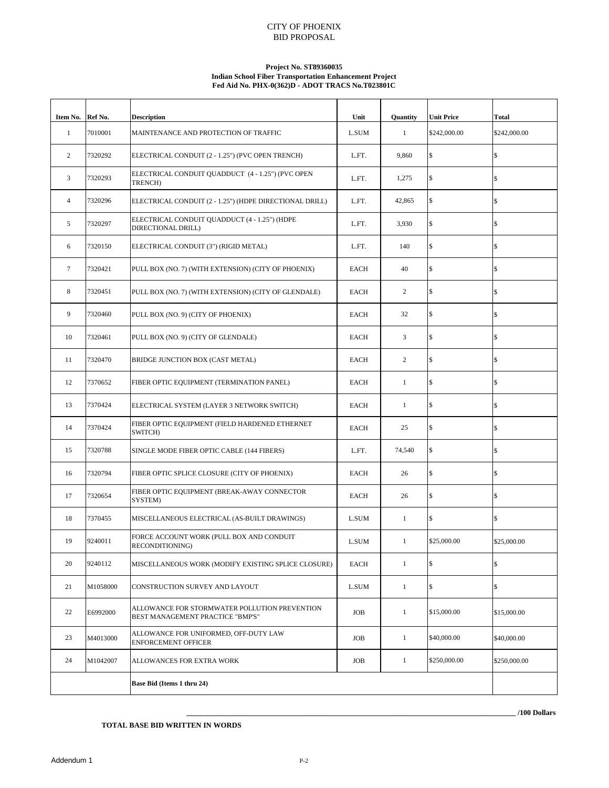#### CITY OF PHOENIX BID PROPOSAL

#### **Project No. ST89360035 Indian School Fiber Transportation Enhancement Project Fed Aid No. PHX-0(362)D - ADOT TRACS No.T023801C**

| Item No. Ref No. |          | <b>Description</b>                                                                | Unit         | <b>Quantity</b> | <b>Unit Price</b> | <b>Total</b> |
|------------------|----------|-----------------------------------------------------------------------------------|--------------|-----------------|-------------------|--------------|
| $\mathbf{1}$     | 7010001  | MAINTENANCE AND PROTECTION OF TRAFFIC                                             | <b>L.SUM</b> | $\mathbf{1}$    | \$242,000.00      | \$242,000.00 |
| 2                | 7320292  | ELECTRICAL CONDUIT (2 - 1.25") (PVC OPEN TRENCH)                                  | L.FT.        | 9,860           | $\mathbb{S}$      | \$           |
| 3                | 7320293  | ELECTRICAL CONDUIT QUADDUCT (4 - 1.25") (PVC OPEN<br>TRENCH)                      | L.FT.        | 1,275           | \$                | \$           |
| $\overline{4}$   | 7320296  | ELECTRICAL CONDUIT (2 - 1.25") (HDPE DIRECTIONAL DRILL)                           | L.FT.        | 42,865          | $\mathbb{S}$      | \$           |
| 5                | 7320297  | ELECTRICAL CONDUIT QUADDUCT (4 - 1.25") (HDPE<br>DIRECTIONAL DRILL)               | L.FT.        | 3,930           | $\mathbb{S}$      | \$           |
| 6                | 7320150  | ELECTRICAL CONDUIT (3") (RIGID METAL)                                             | L.FT.        | 140             | $\mathsf{\$}$     | \$           |
| $\tau$           | 7320421  | PULL BOX (NO. 7) (WITH EXTENSION) (CITY OF PHOENIX)                               | EACH         | 40              | $\mathbb{S}$      | \$           |
| 8                | 7320451  | PULL BOX (NO. 7) (WITH EXTENSION) (CITY OF GLENDALE)                              | <b>EACH</b>  | 2               | \$                | \$           |
| 9                | 7320460  | PULL BOX (NO. 9) (CITY OF PHOENIX)                                                | <b>EACH</b>  | 32              | $\mathsf{\$}$     | \$           |
| 10               | 7320461  | PULL BOX (NO. 9) (CITY OF GLENDALE)                                               | <b>EACH</b>  | 3               | $\mathbb{S}$      | \$           |
| 11               | 7320470  | BRIDGE JUNCTION BOX (CAST METAL)                                                  | <b>EACH</b>  | 2               | $\mathbb{S}$      | \$           |
| 12               | 7370652  | FIBER OPTIC EQUIPMENT (TERMINATION PANEL)                                         | EACH         | $\mathbf{1}$    | \$                | \$           |
| 13               | 7370424  | ELECTRICAL SYSTEM (LAYER 3 NETWORK SWITCH)                                        | <b>EACH</b>  | 1               | $\mathbb{S}$      | \$           |
| 14               | 7370424  | FIBER OPTIC EQUIPMENT (FIELD HARDENED ETHERNET<br>SWITCH)                         | <b>EACH</b>  | 25              | $\mathbb{S}$      | \$           |
| 15               | 7320788  | SINGLE MODE FIBER OPTIC CABLE (144 FIBERS)                                        | L.FT.        | 74,540          | \$                | \$           |
| 16               | 7320794  | FIBER OPTIC SPLICE CLOSURE (CITY OF PHOENIX)                                      | <b>EACH</b>  | 26              | $\mathsf{\$}$     | \$           |
| 17               | 7320654  | FIBER OPTIC EQUIPMENT (BREAK-AWAY CONNECTOR<br><b>SYSTEM</b> )                    | <b>EACH</b>  | 26              | \$                | \$           |
| 18               | 7370455  | MISCELLANEOUS ELECTRICAL (AS-BUILT DRAWINGS)                                      | <b>L.SUM</b> | $\mathbf{1}$    | $\mathsf{\$}$     | \$           |
| 19               | 9240011  | FORCE ACCOUNT WORK (PULL BOX AND CONDUIT<br>RECONDITIONING)                       | L.SUM        | $\mathbf{1}$    | \$25,000.00       | \$25,000.00  |
| 20               | 9240112  | MISCELLANEOUS WORK (MODIFY EXISTING SPLICE CLOSURE)                               | <b>EACH</b>  | $\mathbf{1}$    | \$                | \$           |
| 21               | M1058000 | CONSTRUCTION SURVEY AND LAYOUT                                                    | L.SUM        | $\mathbf{1}$    | \$                | \$           |
| 22               | E6992000 | ALLOWANCE FOR STORMWATER POLLUTION PREVENTION<br>BEST MANAGEMENT PRACTICE "BMP'S" | <b>JOB</b>   | $\mathbf{1}$    | \$15,000.00       | \$15,000.00  |
| 23               | M4013000 | ALLOWANCE FOR UNIFORMED, OFF-DUTY LAW<br>ENFORCEMENT OFFICER                      | <b>JOB</b>   | $\mathbf{1}$    | \$40,000.00       | \$40,000.00  |
| 24               | M1042007 | ALLOWANCES FOR EXTRA WORK                                                         | JOB          | $\mathbf{1}$    | \$250,000.00      | \$250,000.00 |
|                  |          | Base Bid (Items 1 thru 24)                                                        |              |                 |                   |              |

**\_\_\_\_\_\_\_\_\_\_\_\_\_\_\_\_\_\_\_\_\_\_\_\_\_\_\_\_\_\_\_\_\_\_\_\_\_\_\_\_\_\_\_\_\_\_\_\_\_\_\_\_\_\_\_\_\_\_\_\_\_\_\_\_\_\_\_\_\_\_\_\_\_\_\_\_\_\_\_\_\_\_\_\_\_\_\_\_\_ /100 Dollars**

#### **TOTAL BASE BID WRITTEN IN WORDS**